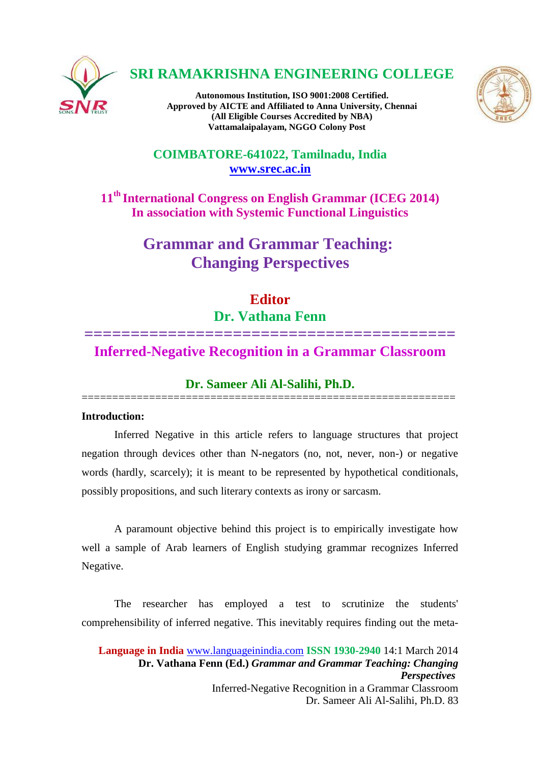

# **SRI RAMAKRISHNA ENGINEERING COLLEGE**

**Autonomous Institution, ISO 9001:2008 Certified. Approved by AICTE and Affiliated to Anna University, Chennai (All Eligible Courses Accredited by NBA) Vattamalaipalayam, NGGO Colony Post**



# **COIMBATORE-641022, Tamilnadu, India [www.srec.ac.in](http://www.srec.ac.in/)**

**11th International Congress on English Grammar (ICEG 2014) In association with Systemic Functional Linguistics**

# **Grammar and Grammar Teaching: Changing Perspectives**

# **Editor**

# **Dr. Vathana Fenn**

# **======================================== Inferred-Negative Recognition in a Grammar Classroom**

# **Dr. Sameer Ali Al-Salihi, Ph.D.** =============================================================

# **Introduction:**

Inferred Negative in this article refers to language structures that project negation through devices other than N-negators (no, not, never, non-) or negative words (hardly, scarcely); it is meant to be represented by hypothetical conditionals, possibly propositions, and such literary contexts as irony or sarcasm.

A paramount objective behind this project is to empirically investigate how well a sample of Arab learners of English studying grammar recognizes Inferred Negative.

The researcher has employed a test to scrutinize the students' comprehensibility of inferred negative. This inevitably requires finding out the meta-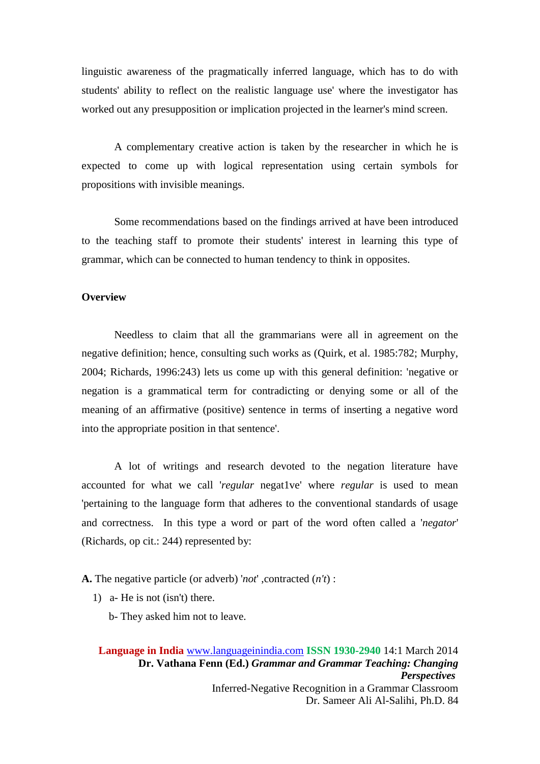linguistic awareness of the pragmatically inferred language, which has to do with students' ability to reflect on the realistic language use' where the investigator has worked out any presupposition or implication projected in the learner's mind screen.

A complementary creative action is taken by the researcher in which he is expected to come up with logical representation using certain symbols for propositions with invisible meanings.

Some recommendations based on the findings arrived at have been introduced to the teaching staff to promote their students' interest in learning this type of grammar, which can be connected to human tendency to think in opposites.

### **Overview**

Needless to claim that all the grammarians were all in agreement on the negative definition; hence, consulting such works as (Quirk, et al. 1985:782; Murphy, 2004; Richards, 1996:243) lets us come up with this general definition: 'negative or negation is a grammatical term for contradicting or denying some or all of the meaning of an affirmative (positive) sentence in terms of inserting a negative word into the appropriate position in that sentence'.

A lot of writings and research devoted to the negation literature have accounted for what we call '*regular* negat1ve' where *regular* is used to mean 'pertaining to the language form that adheres to the conventional standards of usage and correctness. In this type a word or part of the word often called a '*negator*' (Richards, op cit.: 244) represented by:

**A.** The negative particle (or adverb) '*not*' ,contracted (*n't*) :

- 1) a- He is not (isn't) there.
	- b- They asked him not to leave.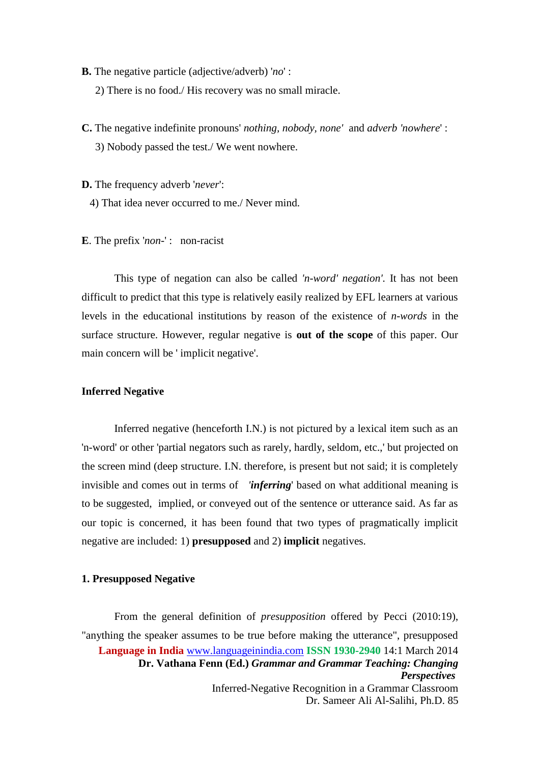**B.** The negative particle (adjective/adverb) '*no*' :

2) There is no food./ His recovery was no small miracle.

**C.** The negative indefinite pronouns' *nothing, nobody, none'* and *adverb 'nowhere*' : 3) Nobody passed the test./ We went nowhere.

**D.** The frequency adverb '*never*':

4) That idea never occurred to me./ Never mind.

**E**. The prefix '*non*-' : non-racist

This type of negation can also be called *'n-word' negation'.* It has not been difficult to predict that this type is relatively easily realized by EFL learners at various levels in the educational institutions by reason of the existence of *n-words* in the surface structure. However, regular negative is **out of the scope** of this paper. Our main concern will be ' implicit negative'.

#### **Inferred Negative**

Inferred negative (henceforth I.N.) is not pictured by a lexical item such as an 'n-word' or other 'partial negators such as rarely, hardly, seldom, etc.,' but projected on the screen mind (deep structure. I.N. therefore, is present but not said; it is completely invisible and comes out in terms of *'inferring*' based on what additional meaning is to be suggested, implied, or conveyed out of the sentence or utterance said. As far as our topic is concerned, it has been found that two types of pragmatically implicit negative are included: 1) **presupposed** and 2) **implicit** negatives.

#### **1. Presupposed Negative**

**Language in India** [www.languageinindia.com](http://www.languageinindia.com/) **ISSN 1930-2940** 14:1 March 2014 **Dr. Vathana Fenn (Ed.)** *Grammar and Grammar Teaching: Changing Perspectives* Inferred-Negative Recognition in a Grammar Classroom Dr. Sameer Ali Al-Salihi, Ph.D. 85 From the general definition of *presupposition* offered by Pecci (2010:19), "anything the speaker assumes to be true before making the utterance", presupposed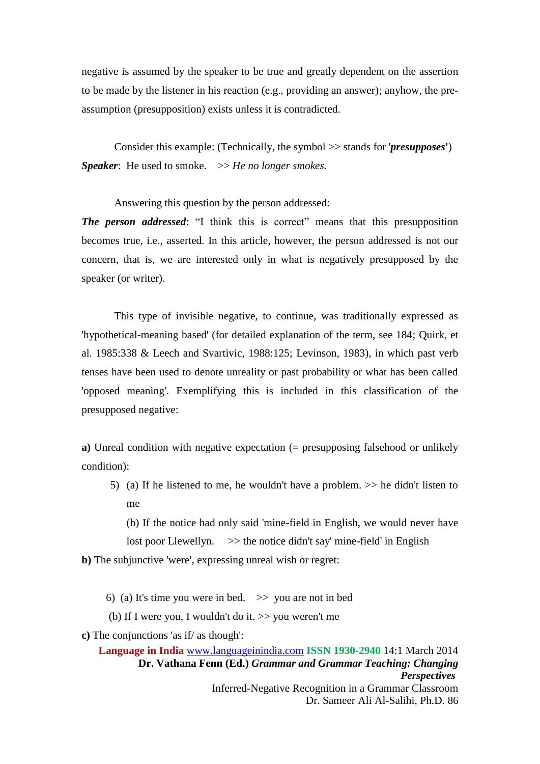negative is assumed by the speaker to be true and greatly dependent on the assertion to be made by the listener in his reaction (e.g., providing an answer); anyhow, the preassumption (presupposition) exists unless it is contradicted.

Consider this example: (Technically, the symbol >> stands for '*presupposes***'**) *Speaker*: He used to smoke.  $\gg$  *He no longer smokes.* 

Answering this question by the person addressed:

*The person addressed*: "I think this is correct" means that this presupposition becomes true, i.e., asserted. In this article, however, the person addressed is not our concern, that is, we are interested only in what is negatively presupposed by the speaker (or writer).

This type of invisible negative, to continue, was traditionally expressed as 'hypothetical-meaning based' (for detailed explanation of the term, see 184; Quirk, et al. 1985:338 & Leech and Svartivic, 1988:125; Levinson, 1983), in which past verb tenses have been used to denote unreality or past probability or what has been called 'opposed meaning'. Exemplifying this is included in this classification of the presupposed negative:

**a**) Unreal condition with negative expectation (= presupposing falsehood or unlikely condition):

5) (a) If he listened to me, he wouldn't have a problem.  $\gg$  he didn't listen to me

(b) If the notice had only said 'mine-field in English, we would never have

lost poor Llewellyn.  $\gg$  the notice didn't say' mine-field' in English

**b)** The subjunctive 'were', expressing unreal wish or regret:

6) (a) It's time you were in bed.  $\gg$  you are not in bed

(b) If I were you, I wouldn't do it.  $\gg$  you weren't me

**c)** The conjunctions 'as if/ as though':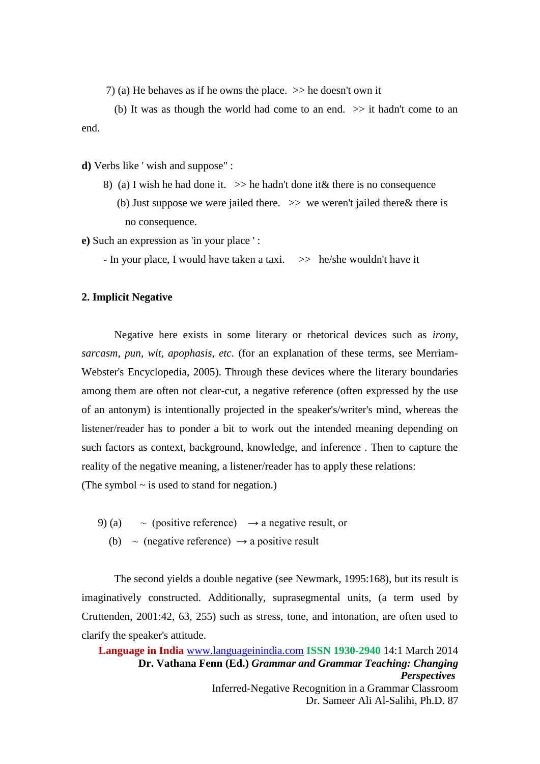7) (a) He behaves as if he owns the place.  $\gg$  he doesn't own it

 (b) It was as though the world had come to an end. >> it hadn't come to an end.

**d)** Verbs like ' wish and suppose" :

8) (a) I wish he had done it.  $\gg$  he hadn't done it & there is no consequence (b) Just suppose we were jailed there.  $\gg$  we weren't jailed there  $\&$  there is no consequence.

**e)** Such an expression as 'in your place ' :

- In your place, I would have taken a taxi.  $\gg$  he/she wouldn't have it

#### **2. Implicit Negative**

Negative here exists in some literary or rhetorical devices such as *irony, sarcasm, pun, wit, apophasis, etc.* (for an explanation of these terms, see Merriam-Webster's Encyclopedia, 2005). Through these devices where the literary boundaries among them are often not clear-cut, a negative reference (often expressed by the use of an antonym) is intentionally projected in the speaker's/writer's mind, whereas the listener/reader has to ponder a bit to work out the intended meaning depending on such factors as context, background, knowledge, and inference . Then to capture the reality of the negative meaning, a listener/reader has to apply these relations:

(The symbol  $\sim$  is used to stand for negation.)

- 9) (a)  $\sim$  (positive reference)  $\rightarrow$  a negative result, or
	- (b)  $\sim$  (negative reference)  $\rightarrow$  a positive result

The second yields a double negative (see Newmark, 1995:168), but its result is imaginatively constructed. Additionally, suprasegmental units, (a term used by Cruttenden, 2001:42, 63, 255) such as stress, tone, and intonation, are often used to clarify the speaker's attitude.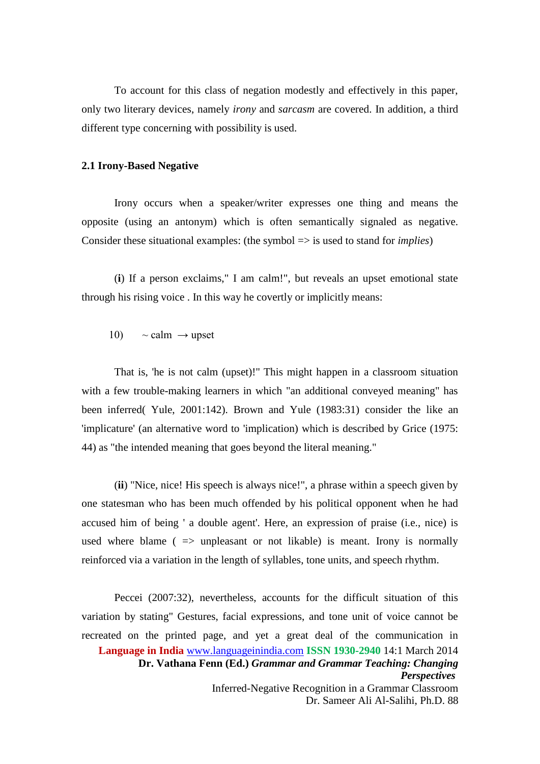To account for this class of negation modestly and effectively in this paper, only two literary devices, namely *irony* and *sarcasm* are covered. In addition, a third different type concerning with possibility is used.

#### **2.1 Irony-Based Negative**

Irony occurs when a speaker/writer expresses one thing and means the opposite (using an antonym) which is often semantically signaled as negative. Consider these situational examples: (the symbol => is used to stand for *implies*)

(**i**) If a person exclaims," I am calm!", but reveals an upset emotional state through his rising voice . In this way he covertly or implicitly means:

10)  $\sim$  calm  $\rightarrow$  upset

That is, 'he is not calm (upset)!'' This might happen in a classroom situation with a few trouble-making learners in which "an additional conveyed meaning" has been inferred( Yule, 2001:142). Brown and Yule (1983:31) consider the like an 'implicature' (an alternative word to 'implication) which is described by Grice (1975: 44) as "the intended meaning that goes beyond the literal meaning."

(**ii**) "Nice, nice! His speech is always nice!", a phrase within a speech given by one statesman who has been much offended by his political opponent when he had accused him of being ' a double agent'. Here, an expression of praise (i.e., nice) is used where blame ( $\Rightarrow$  unpleasant or not likable) is meant. Irony is normally reinforced via a variation in the length of syllables, tone units, and speech rhythm.

**Language in India** [www.languageinindia.com](http://www.languageinindia.com/) **ISSN 1930-2940** 14:1 March 2014 **Dr. Vathana Fenn (Ed.)** *Grammar and Grammar Teaching: Changing Perspectives* Inferred-Negative Recognition in a Grammar Classroom Dr. Sameer Ali Al-Salihi, Ph.D. 88 Peccei (2007:32), nevertheless, accounts for the difficult situation of this variation by stating" Gestures, facial expressions, and tone unit of voice cannot be recreated on the printed page, and yet a great deal of the communication in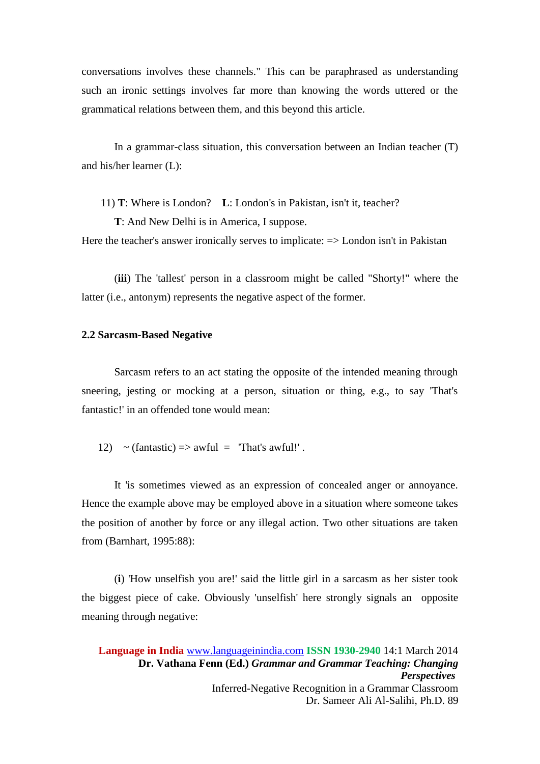conversations involves these channels." This can be paraphrased as understanding such an ironic settings involves far more than knowing the words uttered or the grammatical relations between them, and this beyond this article.

In a grammar-class situation, this conversation between an Indian teacher (T) and his/her learner (L):

11) **T**: Where is London? **L**: London's in Pakistan, isn't it, teacher?

 **T**: And New Delhi is in America, I suppose.

Here the teacher's answer ironically serves to implicate:  $\Rightarrow$  London isn't in Pakistan

(**iii**) The 'tallest' person in a classroom might be called "Shorty!" where the latter (i.e., antonym) represents the negative aspect of the former.

#### **2.2 Sarcasm-Based Negative**

Sarcasm refers to an act stating the opposite of the intended meaning through sneering, jesting or mocking at a person, situation or thing, e.g., to say 'That's fantastic!' in an offended tone would mean:

12)  $\sim$  (fantastic) => awful = 'That's awful!'.

It 'is sometimes viewed as an expression of concealed anger or annoyance. Hence the example above may be employed above in a situation where someone takes the position of another by force or any illegal action. Two other situations are taken from (Barnhart, 1995:88):

(**i**) 'How unselfish you are!' said the little girl in a sarcasm as her sister took the biggest piece of cake. Obviously 'unselfish' here strongly signals an opposite meaning through negative: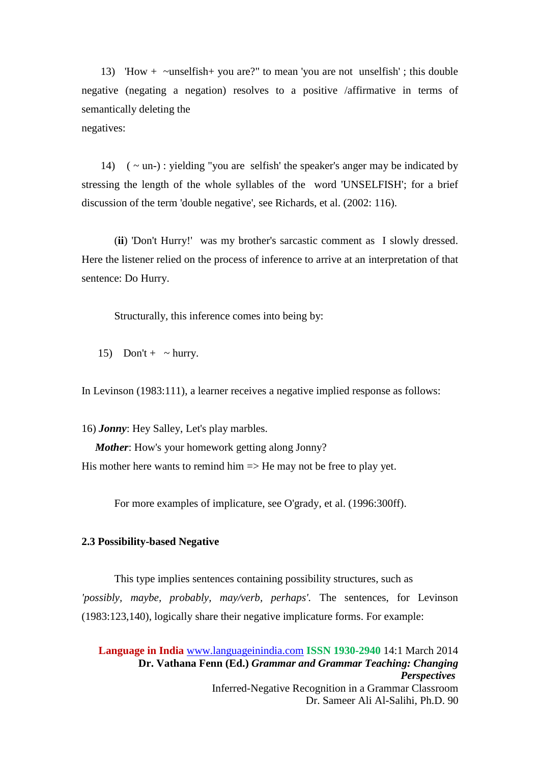13) 'How + ~unselfish+ you are?" to mean 'you are not unselfish' ; this double negative (negating a negation) resolves to a positive /affirmative in terms of semantically deleting the negatives:

14)  $(-\text{un-})$ : yielding "you are selfish' the speaker's anger may be indicated by stressing the length of the whole syllables of the word 'UNSELFISH'; for a brief discussion of the term 'double negative', see Richards, et al. (2002: 116).

(**ii**) 'Don't Hurry!' was my brother's sarcastic comment as I slowly dressed. Here the listener relied on the process of inference to arrive at an interpretation of that sentence: Do Hurry.

Structurally, this inference comes into being by:

15) Don't +  $\sim$  hurry.

In Levinson (1983:111), a learner receives a negative implied response as follows:

16) *Jonny*: Hey Salley, Let's play marbles. *Mother*: How's your homework getting along Jonny? His mother here wants to remind him  $\Rightarrow$  He may not be free to play yet.

For more examples of implicature, see O'grady, et al. (1996:300ff).

# **2.3 Possibility-based Negative**

This type implies sentences containing possibility structures, such as *'possibly, maybe, probably, may/verb, perhaps'.* The sentences, for Levinson (1983:123,140), logically share their negative implicature forms. For example: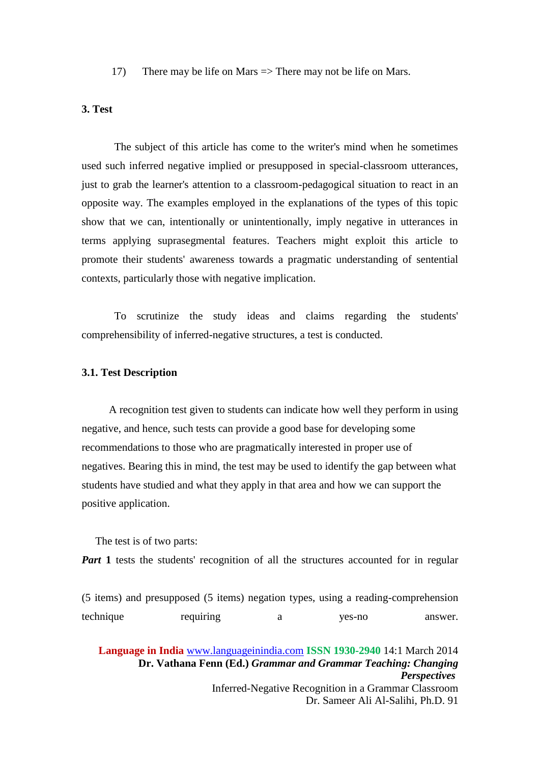17) There may be life on Mars => There may not be life on Mars.

# **3. Test**

The subject of this article has come to the writer's mind when he sometimes used such inferred negative implied or presupposed in special-classroom utterances, just to grab the learner's attention to a classroom-pedagogical situation to react in an opposite way. The examples employed in the explanations of the types of this topic show that we can, intentionally or unintentionally, imply negative in utterances in terms applying suprasegmental features. Teachers might exploit this article to promote their students' awareness towards a pragmatic understanding of sentential contexts, particularly those with negative implication.

To scrutinize the study ideas and claims regarding the students' comprehensibility of inferred-negative structures, a test is conducted.

### **3.1. Test Description**

 A recognition test given to students can indicate how well they perform in using negative, and hence, such tests can provide a good base for developing some recommendations to those who are pragmatically interested in proper use of negatives. Bearing this in mind, the test may be used to identify the gap between what students have studied and what they apply in that area and how we can support the positive application.

The test is of two parts:

*Part* 1 tests the students' recognition of all the structures accounted for in regular

|           | (5 items) and presupposed (5 items) negation types, using a reading-comprehension |        |         |
|-----------|-----------------------------------------------------------------------------------|--------|---------|
| technique | requiring                                                                         | yes-no | answer. |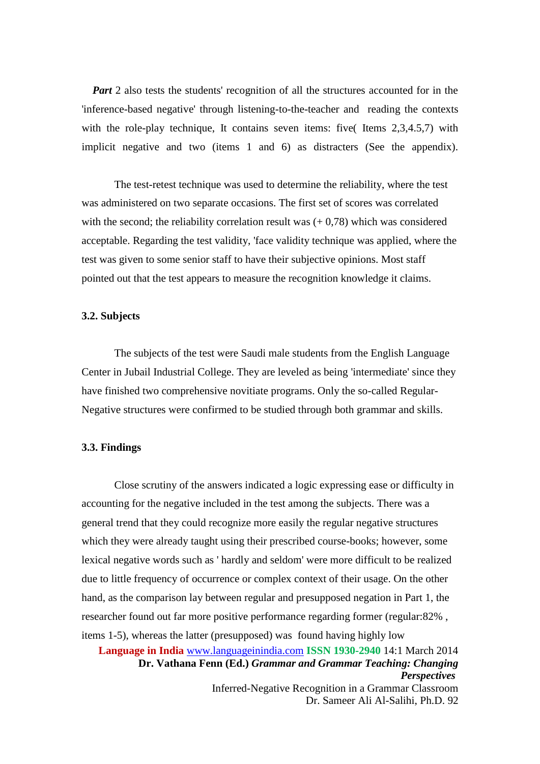*Part* 2 also tests the students' recognition of all the structures accounted for in the 'inference-based negative' through listening-to-the-teacher and reading the contexts with the role-play technique, It contains seven items: five( Items 2,3,4.5,7) with implicit negative and two (items 1 and 6) as distracters (See the appendix).

 The test-retest technique was used to determine the reliability, where the test was administered on two separate occasions. The first set of scores was correlated with the second; the reliability correlation result was  $(+ 0.78)$  which was considered acceptable. Regarding the test validity, 'face validity technique was applied, where the test was given to some senior staff to have their subjective opinions. Most staff pointed out that the test appears to measure the recognition knowledge it claims.

#### **3.2. Subjects**

The subjects of the test were Saudi male students from the English Language Center in Jubail Industrial College. They are leveled as being 'intermediate' since they have finished two comprehensive novitiate programs. Only the so-called Regular-Negative structures were confirmed to be studied through both grammar and skills.

#### **3.3. Findings**

Close scrutiny of the answers indicated a logic expressing ease or difficulty in accounting for the negative included in the test among the subjects. There was a general trend that they could recognize more easily the regular negative structures which they were already taught using their prescribed course-books; however, some lexical negative words such as ' hardly and seldom' were more difficult to be realized due to little frequency of occurrence or complex context of their usage. On the other hand, as the comparison lay between regular and presupposed negation in Part 1, the researcher found out far more positive performance regarding former (regular:82% , items 1-5), whereas the latter (presupposed) was found having highly low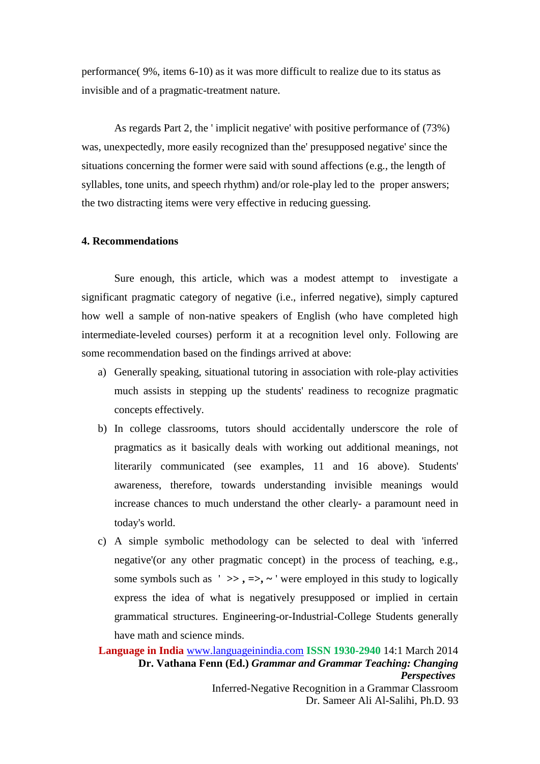performance( 9%, items 6-10) as it was more difficult to realize due to its status as invisible and of a pragmatic-treatment nature.

As regards Part 2, the ' implicit negative' with positive performance of (73%) was, unexpectedly, more easily recognized than the' presupposed negative' since the situations concerning the former were said with sound affections (e.g., the length of syllables, tone units, and speech rhythm) and/or role-play led to the proper answers; the two distracting items were very effective in reducing guessing.

#### **4. Recommendations**

Sure enough, this article, which was a modest attempt to investigate a significant pragmatic category of negative (i.e., inferred negative), simply captured how well a sample of non-native speakers of English (who have completed high intermediate-leveled courses) perform it at a recognition level only. Following are some recommendation based on the findings arrived at above:

- a) Generally speaking, situational tutoring in association with role-play activities much assists in stepping up the students' readiness to recognize pragmatic concepts effectively.
- b) In college classrooms, tutors should accidentally underscore the role of pragmatics as it basically deals with working out additional meanings, not literarily communicated (see examples, 11 and 16 above). Students' awareness, therefore, towards understanding invisible meanings would increase chances to much understand the other clearly- a paramount need in today's world.
- c) A simple symbolic methodology can be selected to deal with 'inferred negative'(or any other pragmatic concept) in the process of teaching, e.g., some symbols such as  $'$   $\gg$ ,  $\approx$ ,  $\sim$  ' were employed in this study to logically express the idea of what is negatively presupposed or implied in certain grammatical structures. Engineering-or-Industrial-College Students generally have math and science minds.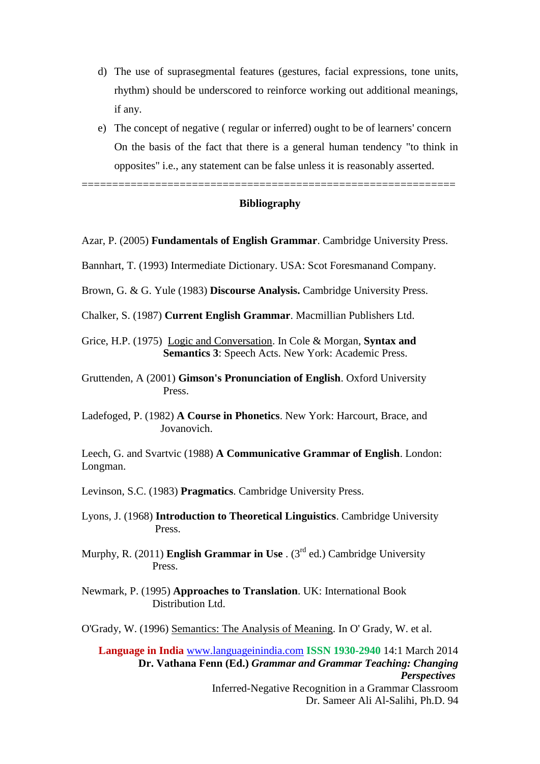- d) The use of suprasegmental features (gestures, facial expressions, tone units, rhythm) should be underscored to reinforce working out additional meanings, if any.
- e) The concept of negative ( regular or inferred) ought to be of learners' concern On the basis of the fact that there is a general human tendency "to think in opposites" i.e., any statement can be false unless it is reasonably asserted.

=============================================================

## **Bibliography**

- Azar, P. (2005) **Fundamentals of English Grammar**. Cambridge University Press.
- Bannhart, T. (1993) Intermediate Dictionary. USA: Scot Foresmanand Company.
- Brown, G. & G. Yule (1983) **Discourse Analysis.** Cambridge University Press.
- Chalker, S. (1987) **Current English Grammar**. Macmillian Publishers Ltd.
- Grice, H.P. (1975) Logic and Conversation. In Cole & Morgan, **Syntax and Semantics 3**: Speech Acts. New York: Academic Press.
- Gruttenden, A (2001) **Gimson's Pronunciation of English**. Oxford University Press.
- Ladefoged, P. (1982) **A Course in Phonetics**. New York: Harcourt, Brace, and Jovanovich.

Leech, G. and Svartvic (1988) **A Communicative Grammar of English**. London: Longman.

Levinson, S.C. (1983) **Pragmatics**. Cambridge University Press.

- Lyons, J. (1968) **Introduction to Theoretical Linguistics**. Cambridge University Press.
- Murphy, R. (2011) **English Grammar in Use** . (3rd ed.) Cambridge University Press.
- Newmark, P. (1995) **Approaches to Translation**. UK: International Book Distribution Ltd.

O'Grady, W. (1996) Semantics: The Analysis of Meaning. In O' Grady, W. et al.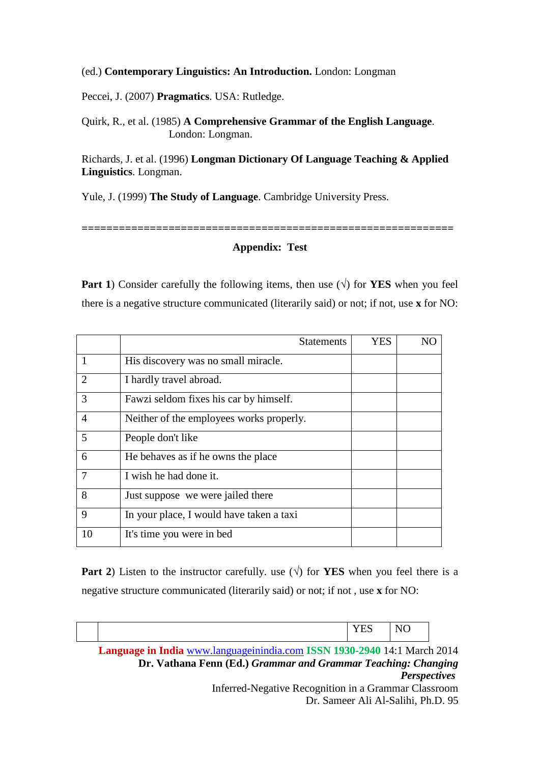### (ed.) **Contemporary Linguistics: An Introduction.** London: Longman

Peccei, J. (2007) **Pragmatics**. USA: Rutledge.

Quirk, R., et al. (1985) **A Comprehensive Grammar of the English Language**. London: Longman.

Richards, J. et al. (1996) **Longman Dictionary Of Language Teaching & Applied Linguistics**. Longman.

Yule, J. (1999) **The Study of Language**. Cambridge University Press.

## **Appendix: Test**

**============================================================**

**Part 1**) Consider carefully the following items, then use  $(\sqrt{)}$  for **YES** when you feel there is a negative structure communicated (literarily said) or not; if not, use **x** for NO:

|                | <b>Statements</b>                        | <b>YES</b> |  |
|----------------|------------------------------------------|------------|--|
|                | His discovery was no small miracle.      |            |  |
| 2              | I hardly travel abroad.                  |            |  |
| 3              | Fawzi seldom fixes his car by himself.   |            |  |
| $\overline{A}$ | Neither of the employees works properly. |            |  |
| 5              | People don't like                        |            |  |
| 6              | He behaves as if he owns the place       |            |  |
| 7              | I wish he had done it.                   |            |  |
| 8              | Just suppose we were jailed there        |            |  |
| 9              | In your place, I would have taken a taxi |            |  |
| 10             | It's time you were in bed                |            |  |

**Part 2**) Listen to the instructor carefully. use  $(\sqrt{})$  for **YES** when you feel there is a negative structure communicated (literarily said) or not; if not , use **x** for NO:

|                                                               |                                                                          | YES | NO.                 |  |
|---------------------------------------------------------------|--------------------------------------------------------------------------|-----|---------------------|--|
|                                                               | Language in India www.languageinindia.com ISSN 1930-2940 14:1 March 2014 |     |                     |  |
| Dr. Vathana Fenn (Ed.) Grammar and Grammar Teaching: Changing |                                                                          |     |                     |  |
|                                                               |                                                                          |     | <b>Perspectives</b> |  |
|                                                               | Inferred-Negative Recognition in a Grammar Classroom                     |     |                     |  |
|                                                               | Dr. Sameer Ali Al-Salihi, Ph.D. 95                                       |     |                     |  |